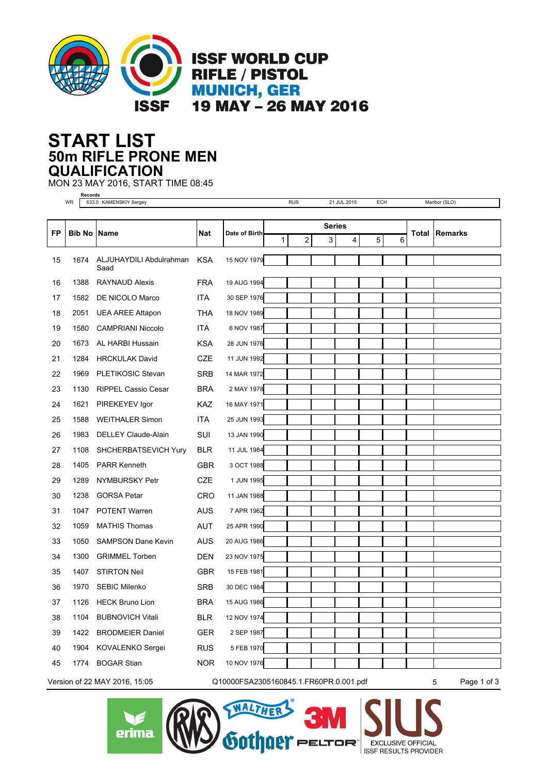

## **50m RIFLE PRONE MEN START LIST QUALIFICATION**

MON 23 MAY 2016, START TIME 08:45

 $\sum$ erima

**Records** WR 633.0 KAMENSKIY Sergey RUS 21 JUL 2015 ECH Maribor (SLO) **FP Bib No Name Nat Date of Birth Total Series Remarks** 1 2 3 4 5 6 ALJUHAYDILI Abdulrahman KSA 15 NOV 1979 Saad 15 1674 16 1388 RAYNAUD Alexis FRA 19 AUG 1994 17 1582 DE NICOLO Marco ITA 30 SEP 1976 18 2051 UEA AREE Attapon THA 18 NOV 1989 19 1580 CAMPRIANI Niccolo ITA 6 NOV 1987 20 1673 AL HARBI Hussain KSA 28 JUN 1976 21 1284 HRCKULAK David CZE 11 JUN 1992 22 1969 PLETIKOSIC Stevan SRB 14 MAR 1972 23 1130 RIPPEL Cassio Cesar BRA 2 MAY 1978 24 1621 PIREKEYEV Igor KAZ 16 MAY 1971 25 1588 WEITHALER Simon ITA 25 JUN 1993 26 1983 DELLEY Claude-Alain SUI 13 JAN 1990 27 1108 SHCHERBATSEVICH Yury BLR 11 JUL 1984 28 1405 PARR Kenneth GBR 3 OCT 1988 29 1289 NYMBURSKY Petr CZE 1 JUN 1995 30 1238 GORSA Petar CRO 11 JAN 1988 31 1047 POTENT Warren AUS 7 APR 1962 32 1059 MATHIS Thomas 4UT 25 APR 1990 33 1050 SAMPSON Dane Kevin AUS 20 AUG 1986 34 1300 GRIMMEL Torben DEN 23 NOV 1975 35 1407 STIRTON Neil GBR 15 FEB 1981 36 1970 SEBIC Milenko SRB 30 DEC 1984 37 1126 HECK Bruno Lion BRA 15 AUG 1986 38 1104 BUBNOVICH Vitali BLR 12 NOV 1974 39 1422 BRODMEIER Daniel GER 2 SEP 1987 40 1904 KOVALENKO Sergei RUS 5 FEB 1970 45 1774 BOGAR Stian NOR 10 NOV 1976 Version of 22 MAY 2016, 15:05 Q10000FSA2305160845.1.FR60PR.0.001.pdf 5 Page 1 of 3

WALTHER

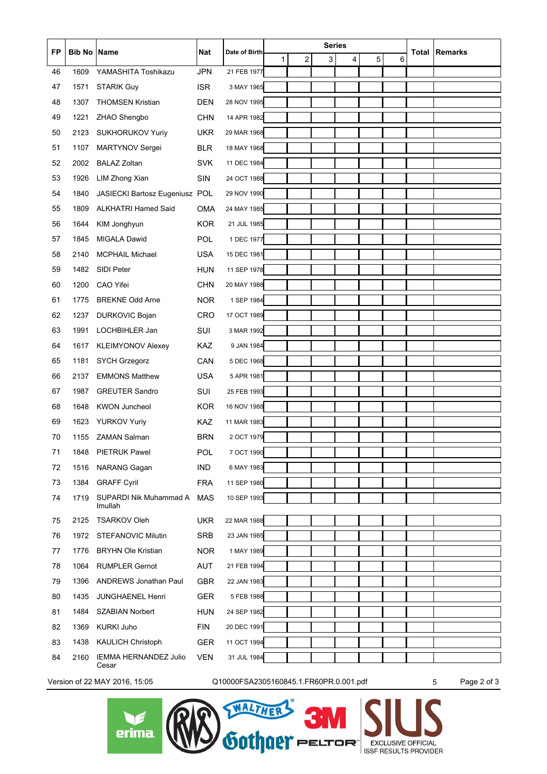| <b>FP</b> | <b>Bib No</b> | <b>Name</b>                       | Nat        | Date of Birth                          | <b>Series</b> |                |   |   |   | Total | Remarks |                  |
|-----------|---------------|-----------------------------------|------------|----------------------------------------|---------------|----------------|---|---|---|-------|---------|------------------|
|           |               |                                   |            |                                        | 1             | $\overline{2}$ | 3 | 4 | 5 | 6     |         |                  |
| 46        | 1609          | YAMASHITA Toshikazu               | <b>JPN</b> | 21 FEB 1977                            |               |                |   |   |   |       |         |                  |
| 47        | 1571          | <b>STARIK Guy</b>                 | <b>ISR</b> | 3 MAY 1965                             |               |                |   |   |   |       |         |                  |
| 48        | 1307          | <b>THOMSEN Kristian</b>           | <b>DEN</b> | 28 NOV 1995                            |               |                |   |   |   |       |         |                  |
| 49        | 1221          | ZHAO Shengbo                      | <b>CHN</b> | 14 APR 1982                            |               |                |   |   |   |       |         |                  |
| 50        | 2123          | SUKHORUKOV Yuriy                  | <b>UKR</b> | 29 MAR 1968                            |               |                |   |   |   |       |         |                  |
| 51        | 1107          | <b>MARTYNOV Sergei</b>            | <b>BLR</b> | 18 MAY 1968                            |               |                |   |   |   |       |         |                  |
| 52        | 2002          | <b>BALAZ Zoltan</b>               | <b>SVK</b> | 11 DEC 1984                            |               |                |   |   |   |       |         |                  |
| 53        | 1926          | LIM Zhong Xian                    | <b>SIN</b> | 24 OCT 1988                            |               |                |   |   |   |       |         |                  |
| 54        | 1840          | JASIECKI Bartosz Eugeniusz POL    |            | 29 NOV 1990                            |               |                |   |   |   |       |         |                  |
| 55        | 1809          | <b>ALKHATRI Hamed Said</b>        | <b>OMA</b> | 24 MAY 1985                            |               |                |   |   |   |       |         |                  |
| 56        | 1644          | KIM Jonghyun                      | <b>KOR</b> | 21 JUL 1985                            |               |                |   |   |   |       |         |                  |
| 57        | 1845          | <b>MIGALA Dawid</b>               | POL.       | 1 DEC 1977                             |               |                |   |   |   |       |         |                  |
| 58        | 2140          | <b>MCPHAIL Michael</b>            | <b>USA</b> | 15 DEC 1981                            |               |                |   |   |   |       |         |                  |
| 59        | 1482          | <b>SIDI Peter</b>                 | <b>HUN</b> | 11 SEP 1978                            |               |                |   |   |   |       |         |                  |
| 60        | 1200          | CAO Yifei                         | <b>CHN</b> | 20 MAY 1988                            |               |                |   |   |   |       |         |                  |
| 61        | 1775          | <b>BREKNE Odd Arne</b>            | <b>NOR</b> | 1 SEP 1984                             |               |                |   |   |   |       |         |                  |
| 62        | 1237          | <b>DURKOVIC Bojan</b>             | <b>CRO</b> | 17 OCT 1989                            |               |                |   |   |   |       |         |                  |
| 63        | 1991          | LOCHBIHLER Jan                    | SUI        | 3 MAR 1992                             |               |                |   |   |   |       |         |                  |
| 64        | 1617          | <b>KLEIMYONOV Alexey</b>          | KAZ        | 9 JAN 1984                             |               |                |   |   |   |       |         |                  |
| 65        | 1181          | <b>SYCH Grzegorz</b>              | CAN        | 5 DEC 1968                             |               |                |   |   |   |       |         |                  |
| 66        | 2137          | <b>EMMONS Matthew</b>             | <b>USA</b> | 5 APR 1981                             |               |                |   |   |   |       |         |                  |
| 67        | 1987          | <b>GREUTER Sandro</b>             | SUI        | 25 FEB 1993                            |               |                |   |   |   |       |         |                  |
| 68        | 1648          | <b>KWON Juncheol</b>              | <b>KOR</b> | 16 NOV 1988                            |               |                |   |   |   |       |         |                  |
| 69        | 1623          | <b>YURKOV Yuriy</b>               | KAZ        | 11 MAR 1983                            |               |                |   |   |   |       |         |                  |
| 70        | 1155          | <b>ZAMAN Salman</b>               | <b>BRN</b> | 2 OCT 1979                             |               |                |   |   |   |       |         |                  |
| 71        | 1848          | <b>PIETRUK Pawel</b>              | POL        | 7 OCT 1990                             |               |                |   |   |   |       |         |                  |
| 72        | 1516          | <b>NARANG Gagan</b>               | <b>IND</b> | 6 MAY 1983                             |               |                |   |   |   |       |         |                  |
| 73        | 1384          | <b>GRAFF Cyril</b>                | <b>FRA</b> | 11 SEP 1980                            |               |                |   |   |   |       |         |                  |
| 74        | 1719          | SUPARDI Nik Muhammad A<br>Imullah | <b>MAS</b> | 10 SEP 1993                            |               |                |   |   |   |       |         |                  |
| 75        | 2125          | <b>TSARKOV Oleh</b>               | <b>UKR</b> | 22 MAR 1988                            |               |                |   |   |   |       |         |                  |
| 76        | 1972          | <b>STEFANOVIC Milutin</b>         | SRB        | 23 JAN 1985                            |               |                |   |   |   |       |         |                  |
| 77        | 1776          | <b>BRYHN Ole Kristian</b>         | <b>NOR</b> | 1 MAY 1989                             |               |                |   |   |   |       |         |                  |
| 78        | 1064          | <b>RUMPLER Gernot</b>             | AUT        | 21 FEB 1994                            |               |                |   |   |   |       |         |                  |
| 79        | 1396          | <b>ANDREWS Jonathan Paul</b>      | GBR        | 22 JAN 1983                            |               |                |   |   |   |       |         |                  |
| 80        | 1435          | <b>JUNGHAENEL Henri</b>           | <b>GER</b> | 5 FEB 1988                             |               |                |   |   |   |       |         |                  |
| 81        | 1484          | <b>SZABIAN Norbert</b>            | <b>HUN</b> | 24 SEP 1982                            |               |                |   |   |   |       |         |                  |
| 82        | 1369          | KURKI Juho                        | <b>FIN</b> | 20 DEC 1991                            |               |                |   |   |   |       |         |                  |
| 83        | 1438          | <b>KAULICH Christoph</b>          | <b>GER</b> | 11 OCT 1994                            |               |                |   |   |   |       |         |                  |
| 84        | 2160          | IEMMA HERNANDEZ Julio             | <b>VEN</b> | 31 JUL 1984                            |               |                |   |   |   |       |         |                  |
| Cesar     |               |                                   |            |                                        |               |                |   |   |   |       |         |                  |
|           |               | Version of 22 MAY 2016, 15:05     |            | Q10000FSA2305160845.1.FR60PR.0.001.pdf |               |                |   |   |   |       |         | Page 2 of 3<br>5 |

 $\epsilon$ <br>erima